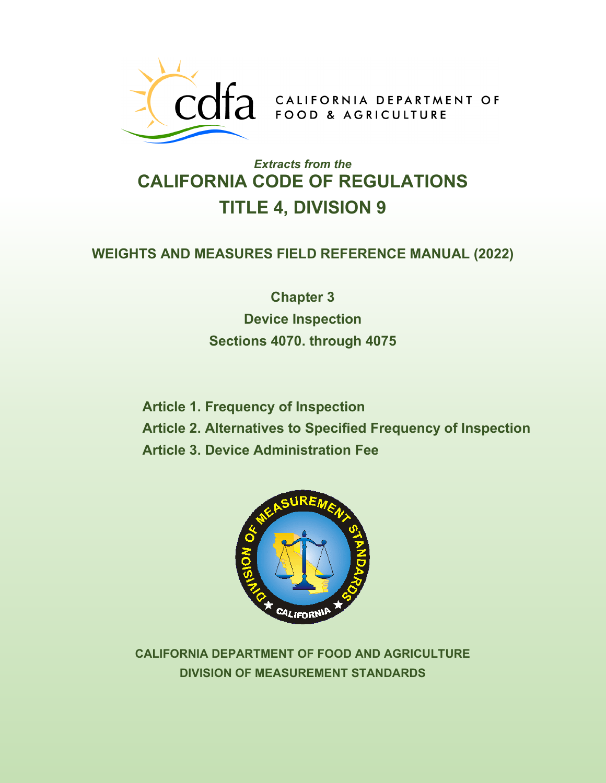

# *Extracts from the* **CALIFORNIA CODE OF REGULATIONS TITLE 4, DIVISION 9**

## **WEIGHTS AND MEASURES FIELD REFERENCE MANUAL (2022)**

**Chapter 3 Device Inspection Sections 4070. through 4075**

**Article 1. Frequency of Inspection Article 2. Alternatives to Specified Frequency of Inspection Article 3. Device Administration Fee**



**CALIFORNIA DEPARTMENT OF FOOD AND AGRICULTURE DIVISION OF MEASUREMENT STANDARDS**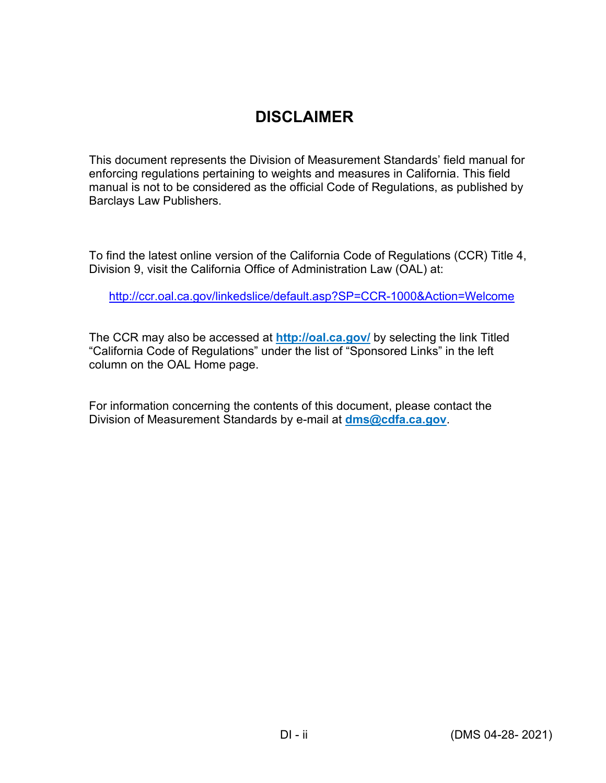## **DISCLAIMER**

This document represents the Division of Measurement Standards' field manual for enforcing regulations pertaining to weights and measures in California. This field manual is not to be considered as the official Code of Regulations, as published by Barclays Law Publishers.

To find the latest online version of the California Code of Regulations (CCR) Title 4, Division 9, visit the California Office of Administration Law (OAL) at:

<http://ccr.oal.ca.gov/linkedslice/default.asp?SP=CCR-1000&Action=Welcome>

The CCR may also be accessed at **<http://oal.ca.gov/>** by selecting the link Titled "California Code of Regulations" under the list of "Sponsored Links" in the left column on the OAL Home page.

For information concerning the contents of this document, please contact the Division of Measurement Standards by e-mail at **[dms@cdfa.ca.gov](mailto:dms@cdfa.ca.gov)**.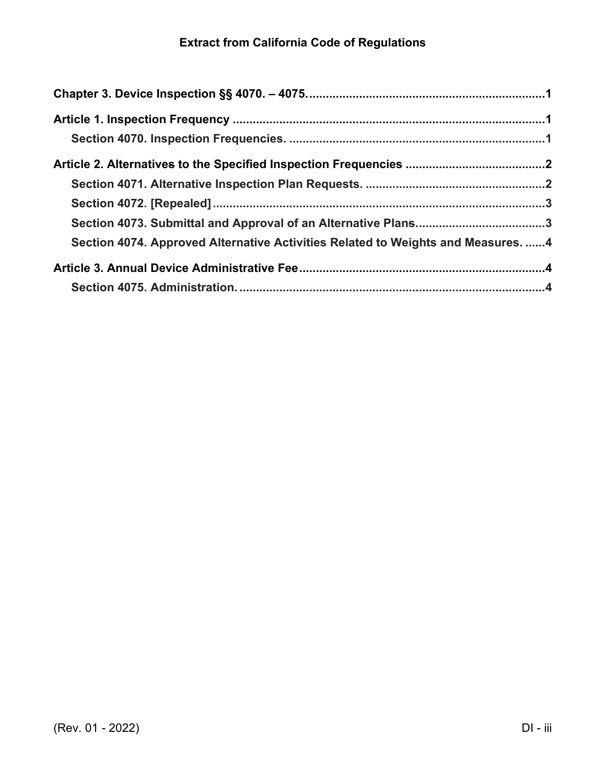| Section 4074. Approved Alternative Activities Related to Weights and Measures. 4 |  |
|----------------------------------------------------------------------------------|--|
|                                                                                  |  |
|                                                                                  |  |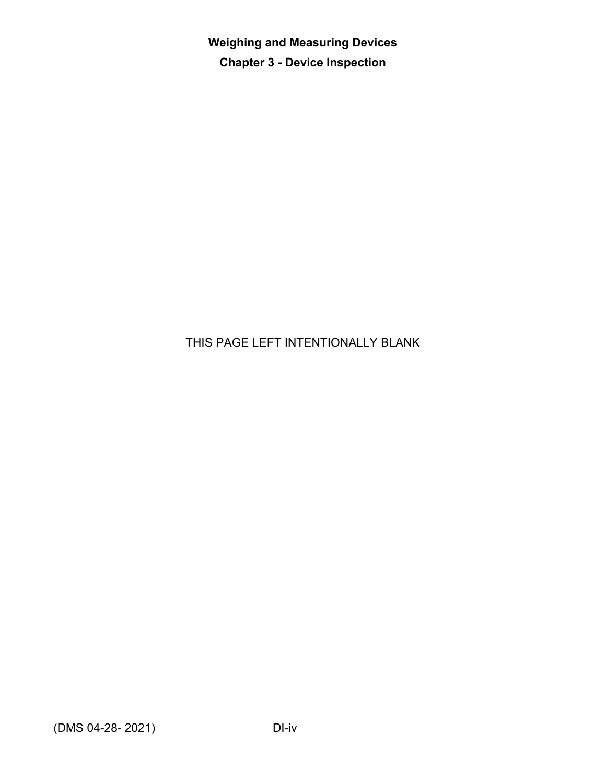**Weighing and Measuring Devices Chapter 3 - Device Inspection**

### THIS PAGE LEFT INTENTIONALLY BLANK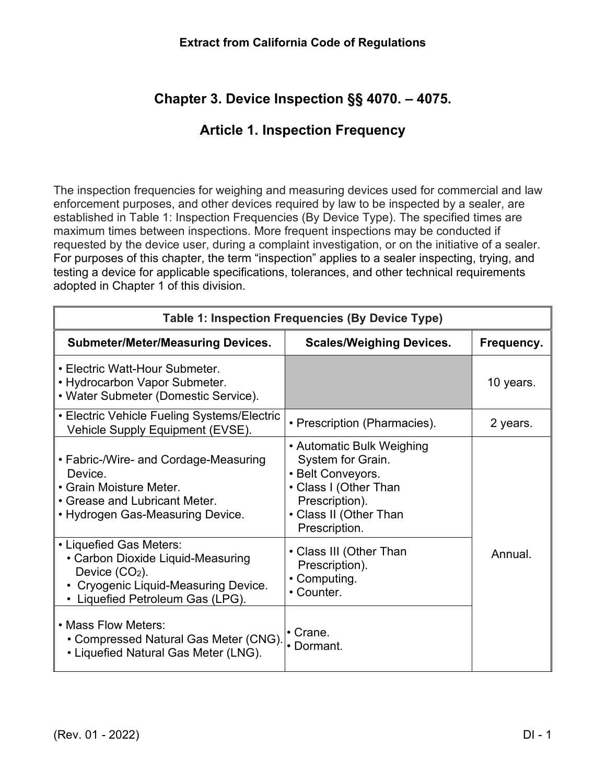#### **Extract from California Code of Regulations**

### **Chapter 3. Device Inspection §§ 4070. – 4075.**

### **Article 1. Inspection Frequency**

<span id="page-4-2"></span><span id="page-4-1"></span><span id="page-4-0"></span>**Section 4070. Inspection Frequencies.**

The inspection frequencies for weighing and measuring devices used for commercial and law enforcement purposes, and other devices required by law to be inspected by a sealer, are established in Table 1: Inspection Frequencies (By Device Type). The specified times are maximum times between inspections. More frequent inspections may be conducted if requested by the device user, during a complaint investigation, or on the initiative of a sealer. For purposes of this chapter, the term "inspection" applies to a sealer inspecting, trying, and testing a device for applicable specifications, tolerances, and other technical requirements adopted in Chapter 1 of this division.

| Table 1: Inspection Frequencies (By Device Type)                                                                                                             |                                                                                                                                                           |            |  |
|--------------------------------------------------------------------------------------------------------------------------------------------------------------|-----------------------------------------------------------------------------------------------------------------------------------------------------------|------------|--|
| <b>Submeter/Meter/Measuring Devices.</b>                                                                                                                     | <b>Scales/Weighing Devices.</b>                                                                                                                           | Frequency. |  |
| • Electric Watt-Hour Submeter.<br>• Hydrocarbon Vapor Submeter.<br>• Water Submeter (Domestic Service).                                                      |                                                                                                                                                           | 10 years.  |  |
| • Electric Vehicle Fueling Systems/Electric<br>Vehicle Supply Equipment (EVSE).                                                                              | • Prescription (Pharmacies).                                                                                                                              | 2 years.   |  |
| • Fabric-/Wire- and Cordage-Measuring<br>Device.<br>• Grain Moisture Meter.<br>• Grease and Lubricant Meter.<br>• Hydrogen Gas-Measuring Device.             | • Automatic Bulk Weighing<br>System for Grain.<br>• Belt Conveyors.<br>• Class I (Other Than<br>Prescription).<br>• Class II (Other Than<br>Prescription. |            |  |
| • Liquefied Gas Meters:<br>• Carbon Dioxide Liquid-Measuring<br>Device $(CO2)$ .<br>• Cryogenic Liquid-Measuring Device.<br>• Liquefied Petroleum Gas (LPG). | • Class III (Other Than<br>Prescription).<br>• Computing.<br>• Counter.                                                                                   | Annual.    |  |
| • Mass Flow Meters:<br>• Compressed Natural Gas Meter (CNG).<br>• Liquefied Natural Gas Meter (LNG).                                                         | $\cdot$ Crane.<br>• Dormant.                                                                                                                              |            |  |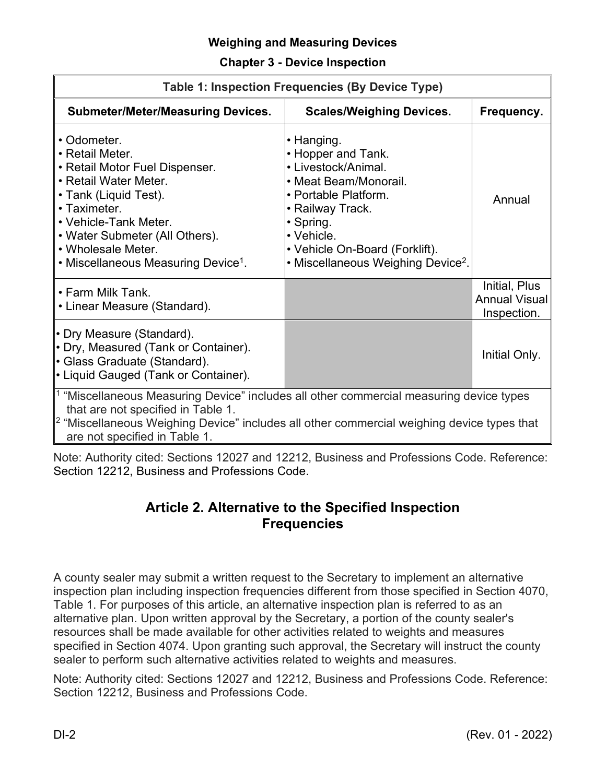#### **Weighing and Measuring Devices**

#### **Chapter 3 - Device Inspection**

| <b>Table 1: Inspection Frequencies (By Device Type)</b>                                                                                                                                                                                                                |                                                                                                                                                                                                                                             |                                                      |  |  |
|------------------------------------------------------------------------------------------------------------------------------------------------------------------------------------------------------------------------------------------------------------------------|---------------------------------------------------------------------------------------------------------------------------------------------------------------------------------------------------------------------------------------------|------------------------------------------------------|--|--|
| <b>Submeter/Meter/Measuring Devices.</b>                                                                                                                                                                                                                               | <b>Scales/Weighing Devices.</b>                                                                                                                                                                                                             | Frequency.                                           |  |  |
| • Odometer.<br>• Retail Meter.<br>• Retail Motor Fuel Dispenser.<br>• Retail Water Meter.<br>• Tank (Liquid Test).<br>• Taximeter.<br>• Vehicle-Tank Meter.<br>• Water Submeter (All Others).<br>• Wholesale Meter.<br>• Miscellaneous Measuring Device <sup>1</sup> . | • Hanging.<br>• Hopper and Tank.<br>• Livestock/Animal.<br>• Meat Beam/Monorail.<br>• Portable Platform.<br>• Railway Track.<br>• Spring.<br>• Vehicle.<br>• Vehicle On-Board (Forklift).<br>• Miscellaneous Weighing Device <sup>2</sup> . | Annual                                               |  |  |
| • Farm Milk Tank.<br>• Linear Measure (Standard).                                                                                                                                                                                                                      |                                                                                                                                                                                                                                             | Initial, Plus<br><b>Annual Visual</b><br>Inspection. |  |  |
| • Dry Measure (Standard).<br>• Dry, Measured (Tank or Container).<br>• Glass Graduate (Standard).<br>• Liquid Gauged (Tank or Container).                                                                                                                              |                                                                                                                                                                                                                                             | Initial Only.                                        |  |  |
| $1$ "Miscellaneous Measuring Device" includes all other commercial measuring device types<br>that are not specified in Table 1.<br>$2$ "Miscellaneous Weighing Device" includes all other commercial weighing device types that<br>are not specified in Table 1.       |                                                                                                                                                                                                                                             |                                                      |  |  |

<span id="page-5-0"></span>Note: Authority cited: Sections 12027 and 12212, Business and Professions Code. Reference: Section 12212, Business and Professions Code.

### **Article 2. Alternative to the Specified Inspection Frequencies**

<span id="page-5-1"></span>A county sealer may submit a written request to the Secretary to implement an alternative inspection plan including inspection frequencies different from those specified in Section 4070, Table 1. For purposes of this article, an alternative inspection plan is referred to as an alternative plan. Upon written approval by the Secretary, a portion of the county sealer's resources shall be made available for other activities related to weights and measures specified in Section 4074. Upon granting such approval, the Secretary will instruct the county sealer to perform such alternative activities related to weights and measures.

Note: Authority cited: Sections 12027 and 12212, Business and Professions Code. Reference: Section 12212, Business and Professions Code.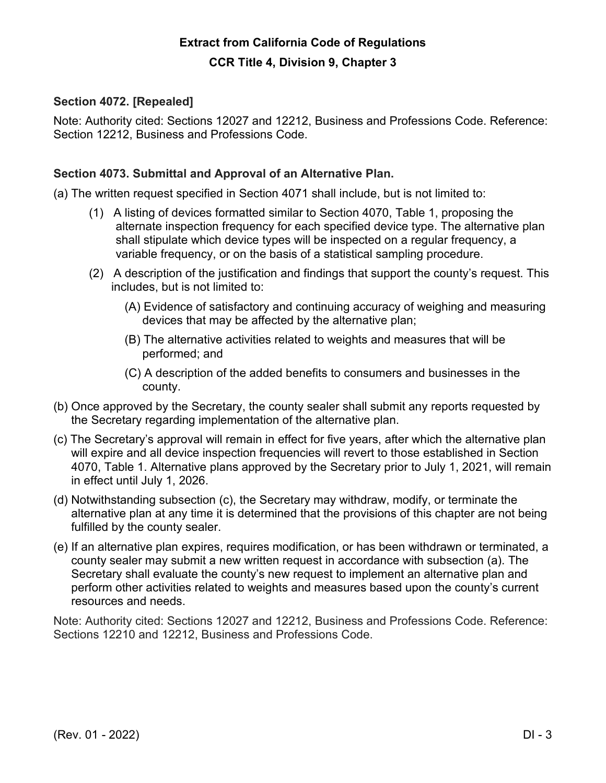### **Extract from California Code of Regulations CCR Title 4, Division 9, Chapter 3**

#### <span id="page-6-0"></span>**Section 4072. [Repealed]**

Note: Authority cited: Sections 12027 and 12212, Business and Professions Code. Reference: Section 12212, Business and Professions Code.

#### <span id="page-6-1"></span>**Section 4073. Submittal and Approval of an Alternative Plan.**

(a) The written request specified in Section 4071 shall include, but is not limited to:

- (1) A listing of devices formatted similar to Section 4070, Table 1, proposing the alternate inspection frequency for each specified device type. The alternative plan shall stipulate which device types will be inspected on a regular frequency, a variable frequency, or on the basis of a statistical sampling procedure.
- (2) A description of the justification and findings that support the county's request. This includes, but is not limited to:
	- (A) Evidence of satisfactory and continuing accuracy of weighing and measuring devices that may be affected by the alternative plan;
	- (B) The alternative activities related to weights and measures that will be performed; and
	- (C) A description of the added benefits to consumers and businesses in the county.
- (b) Once approved by the Secretary, the county sealer shall submit any reports requested by the Secretary regarding implementation of the alternative plan.
- (c) The Secretary's approval will remain in effect for five years, after which the alternative plan will expire and all device inspection frequencies will revert to those established in Section 4070, Table 1. Alternative plans approved by the Secretary prior to July 1, 2021, will remain in effect until July 1, 2026.
- (d) Notwithstanding subsection (c), the Secretary may withdraw, modify, or terminate the alternative plan at any time it is determined that the provisions of this chapter are not being fulfilled by the county sealer.
- (e) If an alternative plan expires, requires modification, or has been withdrawn or terminated, a county sealer may submit a new written request in accordance with subsection (a). The Secretary shall evaluate the county's new request to implement an alternative plan and perform other activities related to weights and measures based upon the county's current resources and needs.

Note: Authority cited: Sections 12027 and 12212, Business and Professions Code. Reference: Sections 12210 and 12212, Business and Professions Code.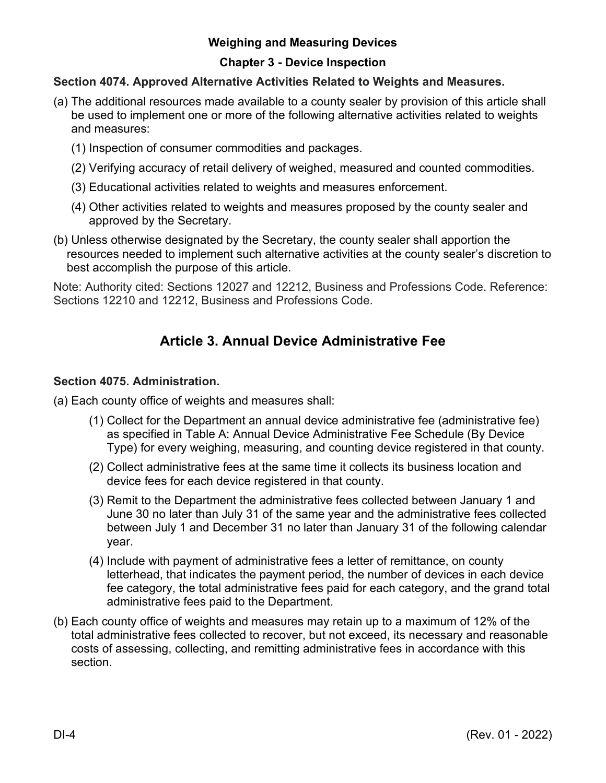#### **Weighing and Measuring Devices**

#### **Chapter 3 - Device Inspection**

### <span id="page-7-0"></span>**Section 4074. Approved Alternative Activities Related to Weights and Measures.**

- (a) The additional resources made available to a county sealer by provision of this article shall be used to implement one or more of the following alternative activities related to weights and measures:
	- (1) Inspection of consumer commodities and packages.
	- (2) Verifying accuracy of retail delivery of weighed, measured and counted commodities.
	- (3) Educational activities related to weights and measures enforcement.
	- (4) Other activities related to weights and measures proposed by the county sealer and approved by the Secretary.
- (b) Unless otherwise designated by the Secretary, the county sealer shall apportion the resources needed to implement such alternative activities at the county sealer's discretion to best accomplish the purpose of this article.

Note: Authority cited: Sections 12027 and 12212, Business and Professions Code. Reference: Sections 12210 and 12212, Business and Professions Code.

## **Article 3. Annual Device Administrative Fee**

### <span id="page-7-2"></span><span id="page-7-1"></span>**Section 4075. Administration.**

(a) Each county office of weights and measures shall:

- (1) Collect for the Department an annual device administrative fee (administrative fee) as specified in Table A: Annual Device Administrative Fee Schedule (By Device Type) for every weighing, measuring, and counting device registered in that county.
- (2) Collect administrative fees at the same time it collects its business location and device fees for each device registered in that county.
- (3) Remit to the Department the administrative fees collected between January 1 and June 30 no later than July 31 of the same year and the administrative fees collected between July 1 and December 31 no later than January 31 of the following calendar year.
- (4) Include with payment of administrative fees a letter of remittance, on county letterhead, that indicates the payment period, the number of devices in each device fee category, the total administrative fees paid for each category, and the grand total administrative fees paid to the Department.
- (b) Each county office of weights and measures may retain up to a maximum of 12% of the total administrative fees collected to recover, but not exceed, its necessary and reasonable costs of assessing, collecting, and remitting administrative fees in accordance with this section.